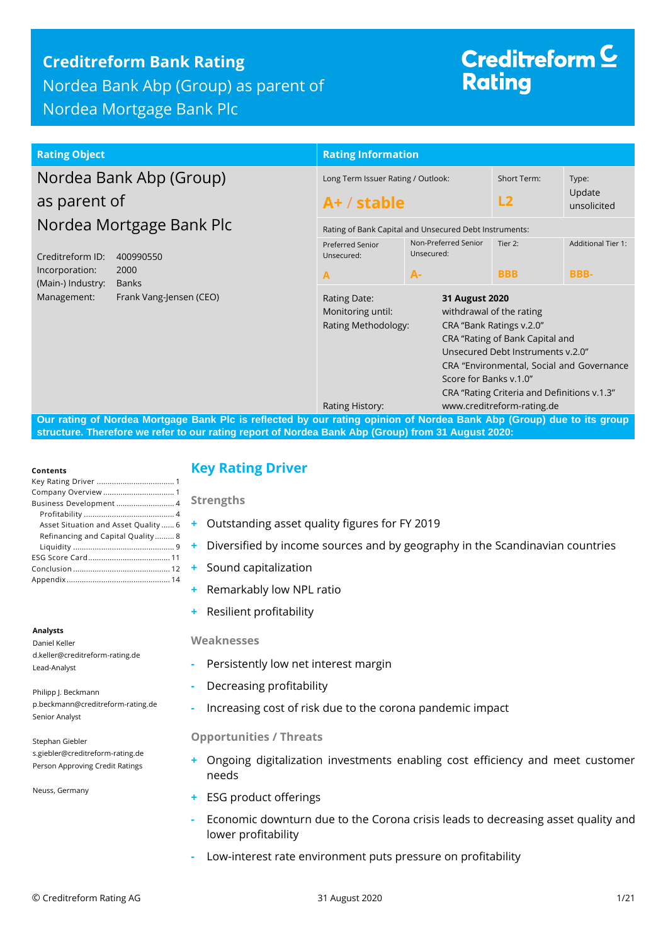## **Creditreform Bank Rating** Nordea Bank Abp (Group) as parent of Nordea Mortgage Bank Plc

# Creditreform  $\subseteq$ **Rating**

### **Rating Object Rating Information**

## Nordea Bank Abp (Group) as parent of Nordea Mortgage Bank Plc

| Creditreform ID:  | 400990550               |
|-------------------|-------------------------|
| Incorporation:    | 2000                    |
| (Main-) Industry: | Banks                   |
| Management:       | Frank Vang-Jensen (CEO) |

|                                                     | <b>Rating Information</b>                                                                            |                                                        |                                                                                                                                                                                                                          |                                |  |  |  |
|-----------------------------------------------------|------------------------------------------------------------------------------------------------------|--------------------------------------------------------|--------------------------------------------------------------------------------------------------------------------------------------------------------------------------------------------------------------------------|--------------------------------|--|--|--|
| Long Term Issuer Rating / Outlook:<br>$A+ /$ stable |                                                                                                      |                                                        | <b>Short Term:</b><br>L2                                                                                                                                                                                                 | Type:<br>Update<br>unsolicited |  |  |  |
|                                                     |                                                                                                      | Rating of Bank Capital and Unsecured Debt Instruments: |                                                                                                                                                                                                                          |                                |  |  |  |
|                                                     | <b>Preferred Senior</b><br>Unsecured:                                                                | Non-Preferred Senior<br>Unsecured:                     | Tier $2$                                                                                                                                                                                                                 | <b>Additional Tier 1:</b>      |  |  |  |
|                                                     | A                                                                                                    | $A -$                                                  | <b>BBB</b>                                                                                                                                                                                                               | <b>BBB-</b>                    |  |  |  |
|                                                     | 31 August 2020<br>Rating Date:<br>Monitoring until:<br>Rating Methodology:<br>Score for Banks v.1.0" |                                                        | withdrawal of the rating<br>CRA "Bank Ratings v.2.0"<br>CRA "Rating of Bank Capital and<br>Unsecured Debt Instruments v.2.0"<br>CRA "Environmental, Social and Governance<br>CRA "Rating Criteria and Definitions v.1.3" |                                |  |  |  |
|                                                     | Rating History:                                                                                      |                                                        | www.creditreform-rating.de                                                                                                                                                                                               |                                |  |  |  |

**Our rating of Nordea Mortgage Bank Plc is reflected by our rating opinion of Nordea Bank Abp (Group) due to its group structure. Therefore we refer to our rating report of Nordea Bank Abp (Group) from 31 August 2020:**

#### **Contents**

| Business Development 4               |  |
|--------------------------------------|--|
|                                      |  |
| Asset Situation and Asset Quality  6 |  |
| Refinancing and Capital Quality 8    |  |
|                                      |  |
|                                      |  |
|                                      |  |
|                                      |  |
|                                      |  |

#### **Analysts**

Daniel Keller d.keller@creditreform-rating.de Lead-Analyst

Philipp J. Beckmann p.beckmann@creditreform-rating.de Senior Analyst

Stephan Giebler s.giebler@creditreform-rating.de Person Approving Credit Ratings

Neuss, Germany

## <span id="page-0-0"></span>**Key Rating Driver**

**Strengths**

- **+** Outstanding asset quality figures for FY 2019
- **+** Diversified by income sources and by geography in the Scandinavian countries
- **+** Sound capitalization
- **+** Remarkably low NPL ratio
- **+** Resilient profitability

#### **Weaknesses**

- **-** Persistently low net interest margin
- **-** Decreasing profitability
- **-** Increasing cost of risk due to the corona pandemic impact

#### **Opportunities / Threats**

- <span id="page-0-1"></span>**+** Ongoing digitalization investments enabling cost efficiency and meet customer needs
- **+** ESG product offerings
- **-** Economic downturn due to the Corona crisis leads to decreasing asset quality and lower profitability
- **-** Low-interest rate environment puts pressure on profitability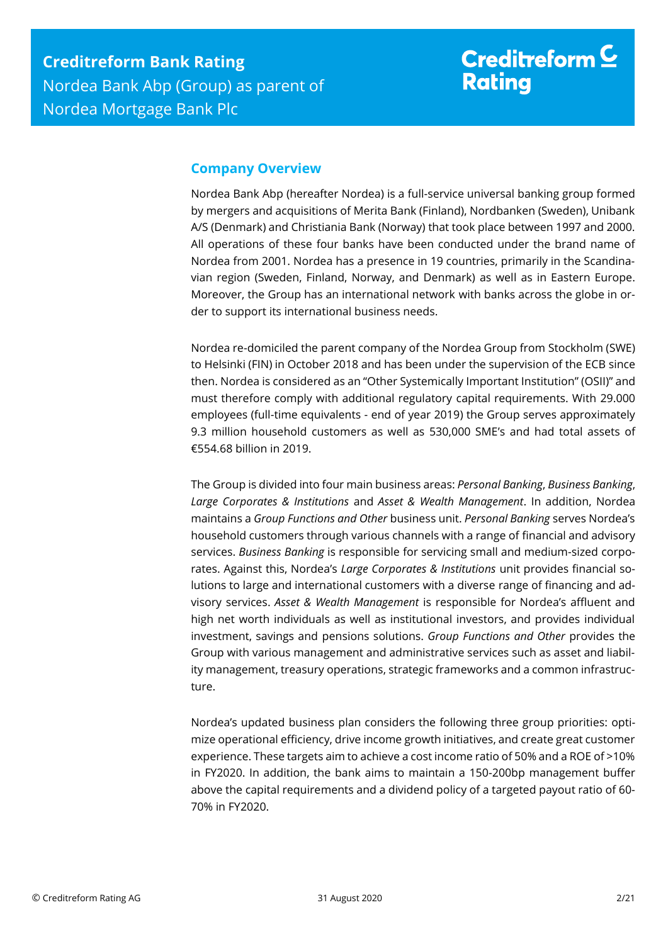## Creditreform  $\underline{\mathsf{C}}$ **Rating**

## **Company Overview**

Nordea Bank Abp (hereafter Nordea) is a full-service universal banking group formed by mergers and acquisitions of Merita Bank (Finland), Nordbanken (Sweden), Unibank A/S (Denmark) and Christiania Bank (Norway) that took place between 1997 and 2000. All operations of these four banks have been conducted under the brand name of Nordea from 2001. Nordea has a presence in 19 countries, primarily in the Scandinavian region (Sweden, Finland, Norway, and Denmark) as well as in Eastern Europe. Moreover, the Group has an international network with banks across the globe in order to support its international business needs.

Nordea re-domiciled the parent company of the Nordea Group from Stockholm (SWE) to Helsinki (FIN) in October 2018 and has been under the supervision of the ECB since then. Nordea is considered as an "Other Systemically Important Institution" (OSII)" and must therefore comply with additional regulatory capital requirements. With 29.000 employees (full-time equivalents - end of year 2019) the Group serves approximately 9.3 million household customers as well as 530,000 SME's and had total assets of €554.68 billion in 2019.

The Group is divided into four main business areas: *Personal Banking*, *Business Banking*, *Large Corporates & Institutions* and *Asset & Wealth Management*. In addition, Nordea maintains a *Group Functions and Other* business unit. *Personal Banking* serves Nordea's household customers through various channels with a range of financial and advisory services. *Business Banking* is responsible for servicing small and medium-sized corporates. Against this, Nordea's *Large Corporates & Institutions* unit provides financial solutions to large and international customers with a diverse range of financing and advisory services. *Asset & Wealth Management* is responsible for Nordea's affluent and high net worth individuals as well as institutional investors, and provides individual investment, savings and pensions solutions. *Group Functions and Other* provides the Group with various management and administrative services such as asset and liability management, treasury operations, strategic frameworks and a common infrastructure.

Nordea's updated business plan considers the following three group priorities: optimize operational efficiency, drive income growth initiatives, and create great customer experience. These targets aim to achieve a cost income ratio of 50% and a ROE of >10% in FY2020. In addition, the bank aims to maintain a 150-200bp management buffer above the capital requirements and a dividend policy of a targeted payout ratio of 60- 70% in FY2020.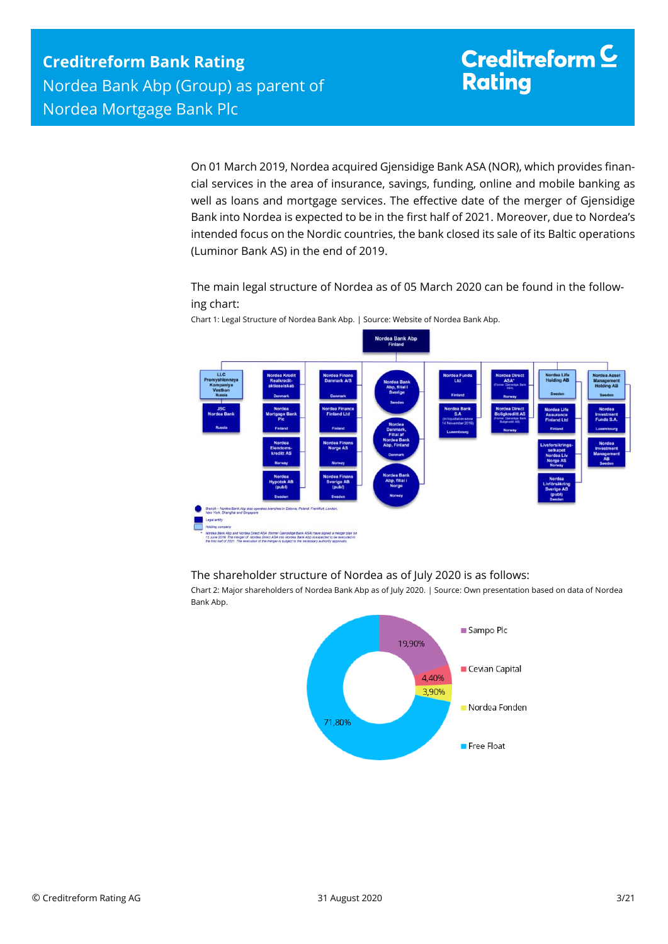# Creditreform  $\subseteq$ **Rating**

On 01 March 2019, Nordea acquired Gjensidige Bank ASA (NOR), which provides financial services in the area of insurance, savings, funding, online and mobile banking as well as loans and mortgage services. The effective date of the merger of Gjensidige Bank into Nordea is expected to be in the first half of 2021. Moreover, due to Nordea's intended focus on the Nordic countries, the bank closed its sale of its Baltic operations (Luminor Bank AS) in the end of 2019.

The main legal structure of Nordea as of 05 March 2020 can be found in the following chart:



Chart 1: Legal Structure of Nordea Bank Abp. | Source: Website of Nordea Bank Abp.

The shareholder structure of Nordea as of July 2020 is as follows:

Chart 2: Major shareholders of Nordea Bank Abp as of July 2020. | Source: Own presentation based on data of Nordea Bank Abp.

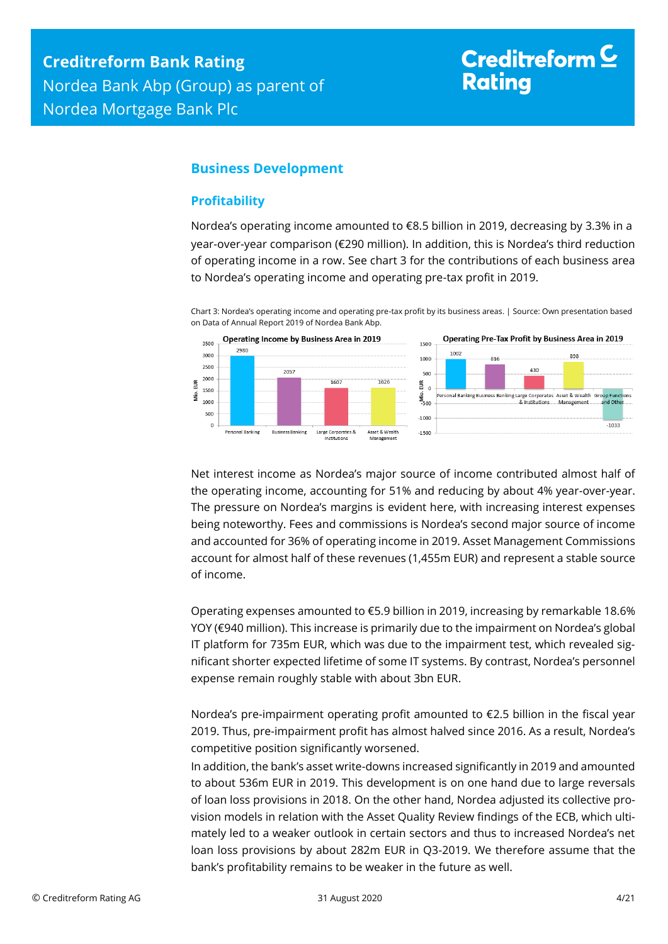# Creditreform<sup>C</sup> **Rating**

## <span id="page-3-0"></span>**Business Development**

### <span id="page-3-1"></span>**Profitability**

Nordea's operating income amounted to €8.5 billion in 2019, decreasing by 3.3% in a year-over-year comparison (€290 million). In addition, this is Nordea's third reduction of operating income in a row. See chart 3 for the contributions of each business area to Nordea's operating income and operating pre-tax profit in 2019.

Chart 3: Nordea's operating income and operating pre-tax profit by its business areas. | Source: Own presentation based on Data of Annual Report 2019 of Nordea Bank Abp.



Net interest income as Nordea's major source of income contributed almost half of the operating income, accounting for 51% and reducing by about 4% year-over-year. The pressure on Nordea's margins is evident here, with increasing interest expenses being noteworthy. Fees and commissions is Nordea's second major source of income and accounted for 36% of operating income in 2019. Asset Management Commissions account for almost half of these revenues (1,455m EUR) and represent a stable source of income.

Operating expenses amounted to €5.9 billion in 2019, increasing by remarkable 18.6% YOY (€940 million). This increase is primarily due to the impairment on Nordea's global IT platform for 735m EUR, which was due to the impairment test, which revealed significant shorter expected lifetime of some IT systems. By contrast, Nordea's personnel expense remain roughly stable with about 3bn EUR.

Nordea's pre-impairment operating profit amounted to €2.5 billion in the fiscal year 2019. Thus, pre-impairment profit has almost halved since 2016. As a result, Nordea's competitive position significantly worsened.

In addition, the bank's asset write-downs increased significantly in 2019 and amounted to about 536m EUR in 2019. This development is on one hand due to large reversals of loan loss provisions in 2018. On the other hand, Nordea adjusted its collective provision models in relation with the Asset Quality Review findings of the ECB, which ultimately led to a weaker outlook in certain sectors and thus to increased Nordea's net loan loss provisions by about 282m EUR in Q3-2019. We therefore assume that the bank's profitability remains to be weaker in the future as well.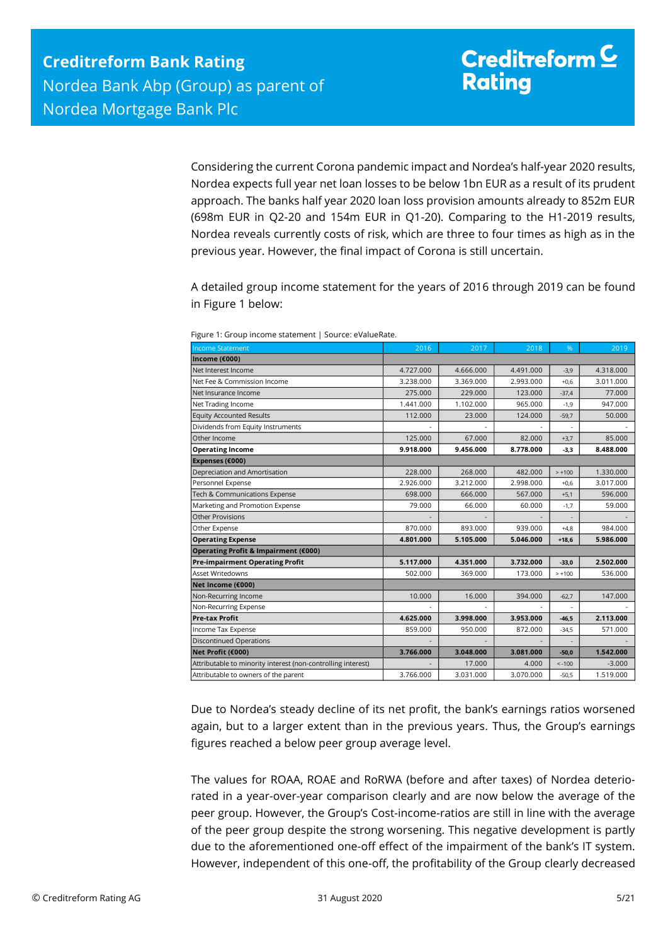Considering the current Corona pandemic impact and Nordea's half-year 2020 results, Nordea expects full year net loan losses to be below 1bn EUR as a result of its prudent approach. The banks half year 2020 loan loss provision amounts already to 852m EUR (698m EUR in Q2-20 and 154m EUR in Q1-20). Comparing to the H1-2019 results, Nordea reveals currently costs of risk, which are three to four times as high as in the previous year. However, the final impact of Corona is still uncertain.

A detailed group income statement for the years of 2016 through 2019 can be found in Figure 1 below:

| <b>Income Statement</b>                                                                                                                                                                                                                                                                                                                                                                                                                      | 2016      | 2017      | 2018      | %        | 2019      |
|----------------------------------------------------------------------------------------------------------------------------------------------------------------------------------------------------------------------------------------------------------------------------------------------------------------------------------------------------------------------------------------------------------------------------------------------|-----------|-----------|-----------|----------|-----------|
| Income (€000)                                                                                                                                                                                                                                                                                                                                                                                                                                |           |           |           |          |           |
| Net Interest Income                                                                                                                                                                                                                                                                                                                                                                                                                          | 4.727.000 | 4.666.000 | 4.491.000 | $-3,9$   | 4.318.000 |
| Net Fee & Commission Income                                                                                                                                                                                                                                                                                                                                                                                                                  | 3.238.000 | 3.369.000 | 2.993.000 | $+0,6$   | 3.011.000 |
| Net Insurance Income                                                                                                                                                                                                                                                                                                                                                                                                                         | 275.000   | 229.000   | 123.000   | $-37,4$  | 77.000    |
| Net Trading Income                                                                                                                                                                                                                                                                                                                                                                                                                           | 1.441.000 | 1.102.000 | 965.000   | $-1,9$   | 947.000   |
| <b>Equity Accounted Results</b>                                                                                                                                                                                                                                                                                                                                                                                                              | 112.000   | 23.000    | 124.000   | $-59,7$  | 50.000    |
| Dividends from Equity Instruments                                                                                                                                                                                                                                                                                                                                                                                                            |           |           |           |          |           |
| Other Income                                                                                                                                                                                                                                                                                                                                                                                                                                 | 125.000   | 67.000    | 82.000    | $+3,7$   | 85.000    |
| <b>Operating Income</b>                                                                                                                                                                                                                                                                                                                                                                                                                      | 9.918.000 | 9.456.000 | 8.778.000 | $-3,3$   | 8.488.000 |
| Expenses (€000)                                                                                                                                                                                                                                                                                                                                                                                                                              |           |           |           |          |           |
| Depreciation and Amortisation                                                                                                                                                                                                                                                                                                                                                                                                                | 228.000   | 268.000   | 482.000   | $> +100$ | 1.330.000 |
| Personnel Expense                                                                                                                                                                                                                                                                                                                                                                                                                            | 2.926.000 | 3.212.000 | 2.998.000 | $+0,6$   | 3.017.000 |
| Tech & Communications Expense                                                                                                                                                                                                                                                                                                                                                                                                                | 698.000   | 666.000   | 567.000   | $+5,1$   | 596.000   |
| Marketing and Promotion Expense                                                                                                                                                                                                                                                                                                                                                                                                              | 79.000    | 66.000    | 60.000    | $-1,7$   | 59.000    |
| Other Provisions                                                                                                                                                                                                                                                                                                                                                                                                                             |           |           |           | $\sim$   |           |
| Other Expense                                                                                                                                                                                                                                                                                                                                                                                                                                | 870.000   | 893.000   | 939.000   | $+4,8$   | 984.000   |
| <b>Operating Expense</b>                                                                                                                                                                                                                                                                                                                                                                                                                     | 4.801.000 | 5.105.000 | 5.046.000 | $+18,6$  | 5.986.000 |
| Operating Profit & Impairment (€000)                                                                                                                                                                                                                                                                                                                                                                                                         |           |           |           |          |           |
| <b>Pre-impairment Operating Profit</b>                                                                                                                                                                                                                                                                                                                                                                                                       | 5.117.000 | 4.351.000 | 3.732.000 | $-33,0$  | 2.502.000 |
| Asset Writedowns                                                                                                                                                                                                                                                                                                                                                                                                                             | 502.000   | 369.000   | 173.000   | $> +100$ | 536.000   |
| Net Income (€000)                                                                                                                                                                                                                                                                                                                                                                                                                            |           |           |           |          |           |
| Non-Recurring Income                                                                                                                                                                                                                                                                                                                                                                                                                         | 10.000    | 16.000    | 394.000   | $-62,7$  | 147.000   |
| Non-Recurring Expense                                                                                                                                                                                                                                                                                                                                                                                                                        |           |           |           | ÷        |           |
| Pre-tax Profit                                                                                                                                                                                                                                                                                                                                                                                                                               | 4.625.000 | 3.998.000 | 3.953.000 | $-46,5$  | 2.113.000 |
| Income Tax Expense                                                                                                                                                                                                                                                                                                                                                                                                                           | 859.000   | 950.000   | 872.000   | $-34,5$  | 571.000   |
| <b>Discontinued Operations</b>                                                                                                                                                                                                                                                                                                                                                                                                               |           |           |           |          |           |
| Net Profit (€000)                                                                                                                                                                                                                                                                                                                                                                                                                            | 3.766.000 | 3.048.000 | 3.081.000 | $-50,0$  | 1.542.000 |
| Attributable to minority interest (non-controlling interest)                                                                                                                                                                                                                                                                                                                                                                                 |           | 17.000    | 4.000     | $< -100$ | $-3.000$  |
| Attributable to owners of the parent                                                                                                                                                                                                                                                                                                                                                                                                         | 3.766.000 | 3.031.000 | 3.070.000 | $-50,5$  | 1.519.000 |
| Due to Nordea's steady decline of its net profit, the bank's earnings ratios worsened<br>again, but to a larger extent than in the previous years. Thus, the Group's earnings<br>figures reached a below peer group average level.                                                                                                                                                                                                           |           |           |           |          |           |
| The values for ROAA, ROAE and RoRWA (before and after taxes) of Nordea deterio-<br>rated in a year-over-year comparison clearly and are now below the average of the<br>peer group. However, the Group's Cost-income-ratios are still in line with the average<br>of the peer group despite the strong worsening. This negative development is partly<br>due to the aforementioned one-off effect of the impairment of the bank's IT system. |           |           |           |          |           |
| However, independent of this one-off, the profitability of the Group clearly decreased                                                                                                                                                                                                                                                                                                                                                       |           |           |           |          |           |

Figure 1: Group income statement | Source: eValueRate.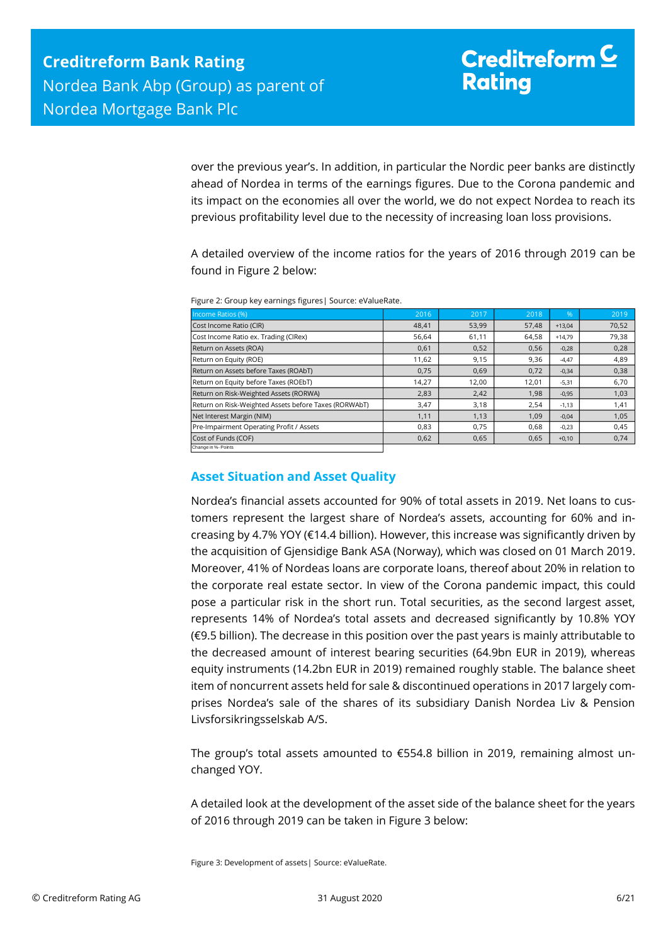over the previous year's. In addition, in particular the Nordic peer banks are distinctly ahead of Nordea in terms of the earnings figures. Due to the Corona pandemic and its impact on the economies all over the world, we do not expect Nordea to reach its previous profitability level due to the necessity of increasing loan loss provisions.

A detailed overview of the income ratios for the years of 2016 through 2019 can be found in Figure 2 below:

| Income Ratios (%)                                     | 2016  | 2017  | 2018  | %        | 2019  |
|-------------------------------------------------------|-------|-------|-------|----------|-------|
| Cost Income Ratio (CIR)                               | 48,41 | 53,99 | 57,48 | $+13,04$ | 70,52 |
| Cost Income Ratio ex. Trading (CIRex)                 | 56,64 | 61,11 | 64,58 | $+14.79$ | 79,38 |
| Return on Assets (ROA)                                | 0,61  | 0,52  | 0,56  | $-0,28$  | 0,28  |
| Return on Equity (ROE)                                | 11,62 | 9,15  | 9,36  | $-4,47$  | 4,89  |
| Return on Assets before Taxes (ROAbT)                 | 0,75  | 0,69  | 0,72  | $-0,34$  | 0,38  |
| Return on Equity before Taxes (ROEbT)                 | 14,27 | 12,00 | 12,01 | $-5,31$  | 6,70  |
| Return on Risk-Weighted Assets (RORWA)                | 2,83  | 2,42  | 1,98  | $-0,95$  | 1,03  |
| Return on Risk-Weighted Assets before Taxes (RORWAbT) | 3,47  | 3,18  | 2,54  | $-1,13$  | 1,41  |
| Net Interest Margin (NIM)                             | 1,11  | 1,13  | 1,09  | $-0,04$  | 1,05  |
| Pre-Impairment Operating Profit / Assets              | 0,83  | 0,75  | 0,68  | $-0,23$  | 0,45  |
| Cost of Funds (COF)                                   | 0,62  | 0,65  | 0,65  | $+0,10$  | 0,74  |
| Change in %- Points                                   |       |       |       |          |       |

Figure 2: Group key earnings figures| Source: eValueRate.

## <span id="page-5-0"></span>**Asset Situation and Asset Quality**

Nordea's financial assets accounted for 90% of total assets in 2019. Net loans to customers represent the largest share of Nordea's assets, accounting for 60% and increasing by 4.7% YOY (€14.4 billion). However, this increase was significantly driven by the acquisition of Gjensidige Bank ASA (Norway), which was closed on 01 March 2019. Moreover, 41% of Nordeas loans are corporate loans, thereof about 20% in relation to the corporate real estate sector. In view of the Corona pandemic impact, this could pose a particular risk in the short run. Total securities, as the second largest asset, represents 14% of Nordea's total assets and decreased significantly by 10.8% YOY (€9.5 billion). The decrease in this position over the past years is mainly attributable to the decreased amount of interest bearing securities (64.9bn EUR in 2019), whereas equity instruments (14.2bn EUR in 2019) remained roughly stable. The balance sheet item of noncurrent assets held for sale & discontinued operations in 2017 largely comprises Nordea's sale of the shares of its subsidiary Danish Nordea Liv & Pension Livsforsikringsselskab A/S. Figure 3: Development of assets and the state of assets and the state of assets and the state of assets and the state of assets and the state of assets are computed by the state of assets are computed by the state of asse

The group's total assets amounted to €554.8 billion in 2019, remaining almost unchanged YOY.

A detailed look at the development of the asset side of the balance sheet for the years of 2016 through 2019 can be taken in Figure 3 below: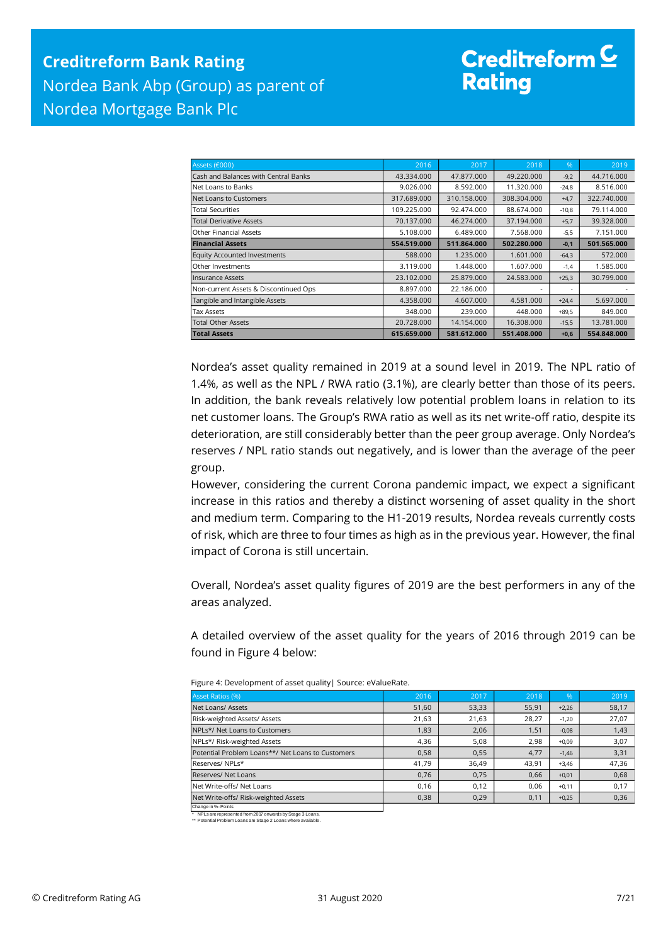| Assets (€000)                         | 2016        | 2017        | 2018        | $\%$    | 2019        |
|---------------------------------------|-------------|-------------|-------------|---------|-------------|
| Cash and Balances with Central Banks  | 43.334.000  | 47.877.000  | 49.220.000  | $-9,2$  | 44.716.000  |
| Net Loans to Banks                    | 9.026.000   | 8.592.000   | 11.320.000  | $-24,8$ | 8.516.000   |
| Net Loans to Customers                | 317.689.000 | 310.158.000 | 308.304.000 | $+4,7$  | 322.740.000 |
| <b>Total Securities</b>               | 109.225.000 | 92.474.000  | 88.674.000  | $-10,8$ | 79.114.000  |
| <b>Total Derivative Assets</b>        | 70.137.000  | 46.274.000  | 37.194.000  | $+5,7$  | 39.328.000  |
| Other Financial Assets                | 5.108.000   | 6.489.000   | 7.568.000   | $-5,5$  | 7.151.000   |
| <b>Financial Assets</b>               | 554.519.000 | 511.864.000 | 502.280.000 | $-0,1$  | 501.565.000 |
| <b>Equity Accounted Investments</b>   | 588,000     | 1.235.000   | 1.601.000   | $-64,3$ | 572.000     |
| Other Investments                     | 3.119.000   | 1.448.000   | 1.607.000   | $-1,4$  | 1.585.000   |
| <b>Insurance Assets</b>               | 23.102.000  | 25.879.000  | 24.583.000  | $+25,3$ | 30.799.000  |
| Non-current Assets & Discontinued Ops | 8.897.000   | 22.186.000  |             | ×.      |             |
| Tangible and Intangible Assets        | 4.358.000   | 4.607.000   | 4.581.000   | $+24,4$ | 5.697.000   |
| Tax Assets                            | 348,000     | 239.000     | 448,000     | $+89,5$ | 849.000     |
| <b>Total Other Assets</b>             | 20.728.000  | 14.154.000  | 16.308.000  | $-15,5$ | 13.781.000  |
| <b>Total Assets</b>                   | 615.659.000 | 581.612.000 | 551.408.000 | $+0,6$  | 554.848.000 |

Nordea's asset quality remained in 2019 at a sound level in 2019. The NPL ratio of 1.4%, as well as the NPL / RWA ratio (3.1%), are clearly better than those of its peers. In addition, the bank reveals relatively low potential problem loans in relation to its net customer loans. The Group's RWA ratio as well as its net write-off ratio, despite its deterioration, are still considerably better than the peer group average. Only Nordea's reserves / NPL ratio stands out negatively, and is lower than the average of the peer group.

However, considering the current Corona pandemic impact, we expect a significant increase in this ratios and thereby a distinct worsening of asset quality in the short and medium term. Comparing to the H1-2019 results, Nordea reveals currently costs of risk, which are three to four times as high as in the previous year. However, the final impact of Corona is still uncertain.

Overall, Nordea's asset quality figures of 2019 are the best performers in any of the areas analyzed.

A detailed overview of the asset quality for the years of 2016 through 2019 can be found in Figure 4 below:

| <b>Asset Ratios (%)</b>                           | 2016  | 2017  | 2018  | %       | 2019  |
|---------------------------------------------------|-------|-------|-------|---------|-------|
| Net Loans/ Assets                                 | 51,60 | 53,33 | 55,91 | $+2,26$ | 58,17 |
| Risk-weighted Assets/ Assets                      | 21,63 | 21,63 | 28,27 | $-1,20$ | 27,07 |
| NPLs*/ Net Loans to Customers                     | 1,83  | 2,06  | 1,51  | $-0,08$ | 1,43  |
| NPLs*/ Risk-weighted Assets                       | 4,36  | 5,08  | 2,98  | $+0.09$ | 3,07  |
| Potential Problem Loans**/ Net Loans to Customers | 0,58  | 0,55  | 4,77  | $-1,46$ | 3,31  |
| Reserves/NPLs*                                    | 41,79 | 36.49 | 43.91 | $+3.46$ | 47,36 |
| Reserves/ Net Loans                               | 0,76  | 0,75  | 0.66  | $+0,01$ | 0,68  |
| Net Write-offs/ Net Loans                         | 0,16  | 0,12  | 0,06  | $+0,11$ | 0,17  |
| Net Write-offs/ Risk-weighted Assets              | 0,38  | 0,29  | 0,11  | $+0,25$ | 0,36  |
| Change in %- Points                               |       |       |       |         |       |

Figure 4: Development of asset quality| Source: eValueRate.

\* NPLs are represented from 2017 onwards by Stage 3 Loans. \*\* Potential Problem Loans are Stage 2 Loans where available.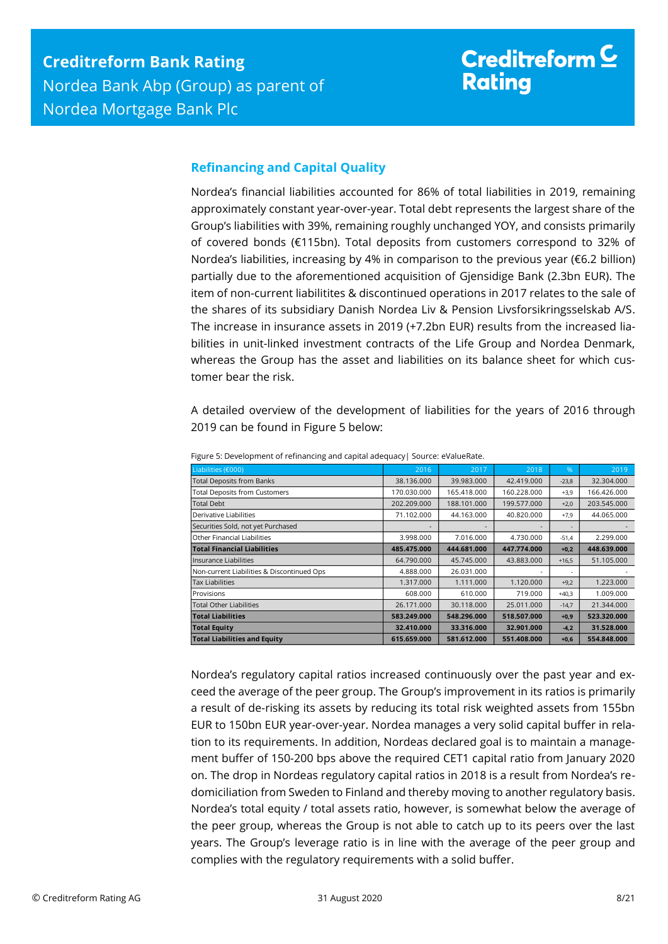### <span id="page-7-0"></span>**Refinancing and Capital Quality**

Nordea's financial liabilities accounted for 86% of total liabilities in 2019, remaining approximately constant year-over-year. Total debt represents the largest share of the Group's liabilities with 39%, remaining roughly unchanged YOY, and consists primarily of covered bonds (€115bn). Total deposits from customers correspond to 32% of Nordea's liabilities, increasing by 4% in comparison to the previous year (€6.2 billion) partially due to the aforementioned acquisition of Gjensidige Bank (2.3bn EUR). The item of non-current liabilitites & discontinued operations in 2017 relates to the sale of the shares of its subsidiary Danish Nordea Liv & Pension Livsforsikringsselskab A/S. The increase in insurance assets in 2019 (+7.2bn EUR) results from the increased liabilities in unit-linked investment contracts of the Life Group and Nordea Denmark, whereas the Group has the asset and liabilities on its balance sheet for which customer bear the risk.

A detailed overview of the development of liabilities for the years of 2016 through 2019 can be found in Figure 5 below:

| Liabilities (€000)                         | 2016        | 2017        | 2018        | $\%$    | 2019        |
|--------------------------------------------|-------------|-------------|-------------|---------|-------------|
| <b>Total Deposits from Banks</b>           | 38.136.000  | 39.983.000  | 42.419.000  | $-23,8$ | 32.304.000  |
| <b>Total Deposits from Customers</b>       | 170.030.000 | 165.418.000 | 160.228.000 | $+3,9$  | 166.426.000 |
| <b>Total Debt</b>                          | 202.209.000 | 188.101.000 | 199.577.000 | $+2,0$  | 203.545.000 |
| Derivative Liabilities                     | 71.102.000  | 44.163.000  | 40.820.000  | $+7,9$  | 44.065.000  |
| Securities Sold, not yet Purchased         |             |             |             | ۰       |             |
| Other Financial Liabilities                | 3.998.000   | 7.016.000   | 4.730.000   | $-51,4$ | 2.299.000   |
| <b>Total Financial Liabilities</b>         | 485.475.000 | 444.681.000 | 447.774.000 | $+0,2$  | 448.639.000 |
| Insurance Liabilities                      | 64.790.000  | 45.745.000  | 43.883.000  | $+16,5$ | 51.105.000  |
| Non-current Liabilities & Discontinued Ops | 4.888.000   | 26.031.000  |             | ٠       |             |
| <b>Tax Liabilities</b>                     | 1.317.000   | 1.111.000   | 1.120.000   | $+9,2$  | 1.223.000   |
| Provisions                                 | 608,000     | 610.000     | 719.000     | $+40.3$ | 1.009.000   |
| <b>Total Other Liabilities</b>             | 26.171.000  | 30.118.000  | 25.011.000  | $-14,7$ | 21.344.000  |
| <b>Total Liabilities</b>                   | 583.249.000 | 548.296.000 | 518.507.000 | $+0,9$  | 523.320.000 |
| <b>Total Equity</b>                        | 32.410.000  | 33.316.000  | 32.901.000  | $-4,2$  | 31.528.000  |
| <b>Total Liabilities and Equity</b>        | 615.659.000 | 581.612.000 | 551.408.000 | $+0,6$  | 554.848.000 |

Figure 5: Development of refinancing and capital adequacy| Source: eValueRate.

Nordea's regulatory capital ratios increased continuously over the past year and exceed the average of the peer group. The Group's improvement in its ratios is primarily a result of de-risking its assets by reducing its total risk weighted assets from 155bn EUR to 150bn EUR year-over-year. Nordea manages a very solid capital buffer in relation to its requirements. In addition, Nordeas declared goal is to maintain a management buffer of 150-200 bps above the required CET1 capital ratio from January 2020 on. The drop in Nordeas regulatory capital ratios in 2018 is a result from Nordea's redomiciliation from Sweden to Finland and thereby moving to another regulatory basis. Nordea's total equity / total assets ratio, however, is somewhat below the average of the peer group, whereas the Group is not able to catch up to its peers over the last years. The Group's leverage ratio is in line with the average of the peer group and complies with the regulatory requirements with a solid buffer.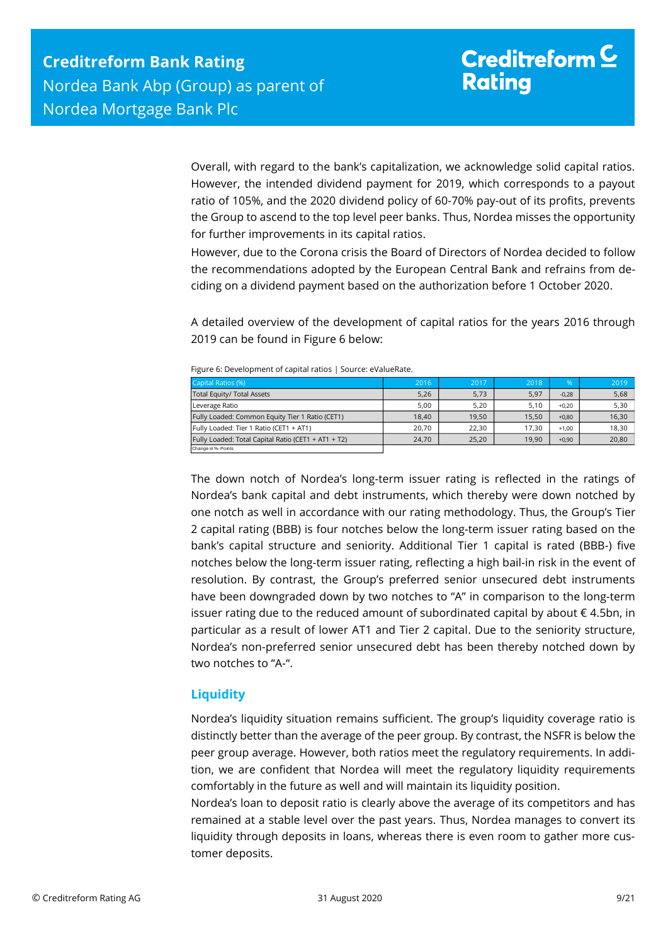Overall, with regard to the bank's capitalization, we acknowledge solid capital ratios. However, the intended dividend payment for 2019, which corresponds to a payout ratio of 105%, and the 2020 dividend policy of 60-70% pay-out of its profits, prevents the Group to ascend to the top level peer banks. Thus, Nordea misses the opportunity for further improvements in its capital ratios.

However, due to the Corona crisis the Board of Directors of Nordea decided to follow the recommendations adopted by the European Central Bank and refrains from deciding on a dividend payment based on the authorization before 1 October 2020.

A detailed overview of the development of capital ratios for the years 2016 through 2019 can be found in Figure 6 below:

| Capital Ratios (%)                                  | 2016  | 2017  | 2018  | %       | 2019  |
|-----------------------------------------------------|-------|-------|-------|---------|-------|
| Total Equity/ Total Assets                          | 5,26  | 5,73  | 5,97  | $-0,28$ | 5,68  |
| Leverage Ratio                                      | 5.00  | 5.20  | 5.10  | $+0.20$ | 5,30  |
| Fully Loaded: Common Equity Tier 1 Ratio (CET1)     | 18.40 | 19.50 | 15.50 | $+0.80$ | 16,30 |
| Fully Loaded: Tier 1 Ratio (CET1 + AT1)             | 20.70 | 22.30 | 17.30 | $+1.00$ | 18.30 |
| Fully Loaded: Total Capital Ratio (CET1 + AT1 + T2) | 24,70 | 25,20 | 19,90 | $+0,90$ | 20,80 |
| Change in %-Points                                  |       |       |       |         |       |

The down notch of Nordea's long-term issuer rating is reflected in the ratings of Nordea's bank capital and debt instruments, which thereby were down notched by one notch as well in accordance with our rating methodology. Thus, the Group's Tier 2 capital rating (BBB) is four notches below the long-term issuer rating based on the bank's capital structure and seniority. Additional Tier 1 capital is rated (BBB-) five notches below the long-term issuer rating, reflecting a high bail-in risk in the event of resolution. By contrast, the Group's preferred senior unsecured debt instruments have been downgraded down by two notches to "A" in comparison to the long-term issuer rating due to the reduced amount of subordinated capital by about  $\epsilon$  4.5bn, in particular as a result of lower AT1 and Tier 2 capital. Due to the seniority structure, Nordea's non-preferred senior unsecured debt has been thereby notched down by two notches to "A-".

## <span id="page-8-0"></span>**Liquidity**

Nordea's liquidity situation remains sufficient. The group's liquidity coverage ratio is distinctly better than the average of the peer group. By contrast, the NSFR is below the peer group average. However, both ratios meet the regulatory requirements. In addition, we are confident that Nordea will meet the regulatory liquidity requirements comfortably in the future as well and will maintain its liquidity position.

Nordea's loan to deposit ratio is clearly above the average of its competitors and has remained at a stable level over the past years. Thus, Nordea manages to convert its liquidity through deposits in loans, whereas there is even room to gather more customer deposits.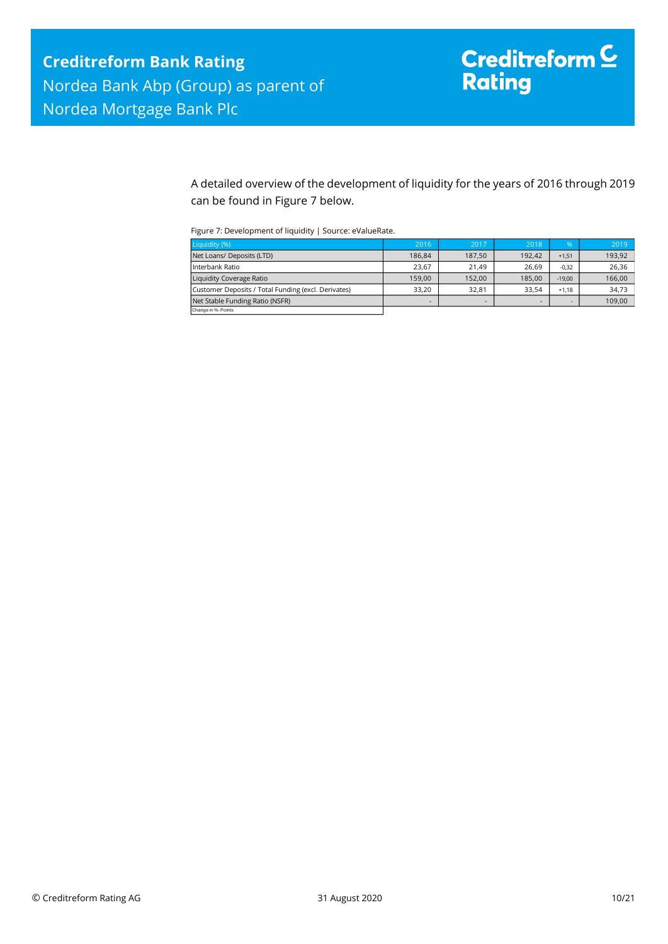A detailed overview of the development of liquidity for the years of 2016 through 2019 can be found in Figure 7 below.

Figure 7: Development of liquidity | Source: eValueRate.

| Liquidity (%)                                       | 2016   | 2017   | 2018   | $\%$     | 2019   |
|-----------------------------------------------------|--------|--------|--------|----------|--------|
| Net Loans/ Deposits (LTD)                           | 186.84 | 187,50 | 192.42 | $+1.51$  | 193,92 |
| Interbank Ratio                                     | 23.67  | 21.49  | 26.69  | $-0.32$  | 26,36  |
| Liquidity Coverage Ratio                            | 159.00 | 152,00 | 185.00 | $-19.00$ | 166,00 |
| Customer Deposits / Total Funding (excl. Derivates) | 33.20  | 32.81  | 33.54  | $+1.18$  | 34,73  |
| Net Stable Funding Ratio (NSFR)                     | -      |        |        |          | 109,00 |
| Change in %- Points                                 |        |        |        |          |        |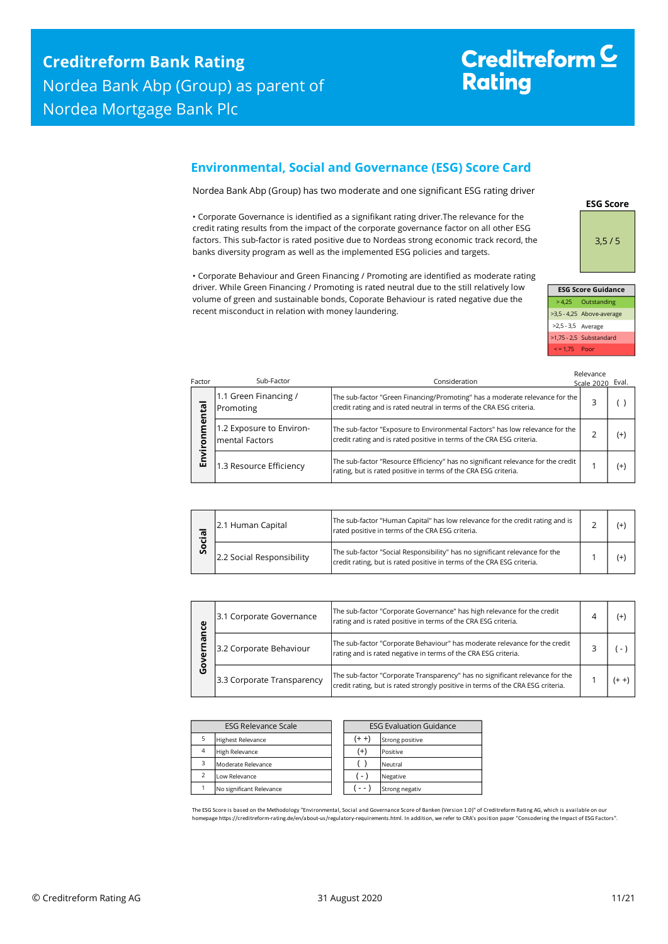## <span id="page-10-0"></span>**Environmental, Social and Governance (ESG) Score Card**

Nordea Bank Abp (Group) has two moderate and one significant ESG rating driver

• Corporate Governance is identified as a signifikant rating driver.The relevance for the credit rating results from the impact of the corporate governance factor on all other ESG factors. This sub-factor is rated positive due to Nordeas strong economic track record, the banks diversity program as well as the implemented ESG policies and targets.

• Corporate Behaviour and Green Financing / Promoting are identified as moderate rating driver. While Green Financing / Promoting is rated neutral due to the still relatively low volume of green and sustainable bonds, Coporate Behaviour is rated negative due the recent misconduct in relation with money laundering.

3,5 / 5 **ESG Score Guidance**

**ESG Score**

| <b>ESG Score Guidance</b> |                           |  |  |  |  |
|---------------------------|---------------------------|--|--|--|--|
|                           | > 4,25 Outstanding        |  |  |  |  |
|                           | >3,5 - 4,25 Above-average |  |  |  |  |
| >2,5 - 3,5 Average        |                           |  |  |  |  |
|                           | >1,75 - 2,5 Substandard   |  |  |  |  |
| $\le$ = 1.75 Poor         |                           |  |  |  |  |

| Factor | Sub-Factor                                         | Consideration                                                                                                                                         | Relevance<br>Scale 2020 Eval. |       |
|--------|----------------------------------------------------|-------------------------------------------------------------------------------------------------------------------------------------------------------|-------------------------------|-------|
| menta  | 1.1 Green Financing /<br>Promoting                 | The sub-factor "Green Financing/Promoting" has a moderate relevance for the<br>credit rating and is rated neutral in terms of the CRA ESG criteria.   |                               |       |
| ō      | 1.2 Exposure to Environ-<br><b>Imental Factors</b> | The sub-factor "Exposure to Environmental Factors" has low relevance for the<br>credit rating and is rated positive in terms of the CRA ESG criteria. |                               | $(+)$ |
| Σ<br>西 | 1.3 Resource Efficiency                            | The sub-factor "Resource Efficiency" has no significant relevance for the credit<br>rating, but is rated positive in terms of the CRA ESG criteria.   |                               | $(+)$ |

| ര<br>ō | 2.1 Human Capital         | The sub-factor "Human Capital" has low relevance for the credit rating and is<br>rated positive in terms of the CRA ESG criteria.                     |  |  |
|--------|---------------------------|-------------------------------------------------------------------------------------------------------------------------------------------------------|--|--|
| ο<br>Ū | 2.2 Social Responsibility | The sub-factor "Social Responsibility" has no significant relevance for the<br>credit rating, but is rated positive in terms of the CRA ESG criteria. |  |  |

|              | Promoting                                          | credit rating and is rated neutral in terms of the CRA ESG criteria.                                                                                            | з              | $\left( \quad \right)$ |
|--------------|----------------------------------------------------|-----------------------------------------------------------------------------------------------------------------------------------------------------------------|----------------|------------------------|
| Environmenta | 1.2 Exposure to Environ-<br><b>Imental Factors</b> | The sub-factor "Exposure to Environmental Factors" has low relevance for the<br>credit rating and is rated positive in terms of the CRA ESG criteria.           | $\overline{2}$ | $^{(+)}$               |
|              | 1.3 Resource Efficiency                            | The sub-factor "Resource Efficiency" has no significant relevance for the credit<br>rating, but is rated positive in terms of the CRA ESG criteria.             | 1              | $^{(+)}$               |
|              |                                                    |                                                                                                                                                                 |                |                        |
| Social       | 2.1 Human Capital                                  | The sub-factor "Human Capital" has low relevance for the credit rating and is<br>rated positive in terms of the CRA ESG criteria.                               | $\overline{2}$ | $^{(+)}$               |
|              | 2.2 Social Responsibility                          | The sub-factor "Social Responsibility" has no significant relevance for the<br>credit rating, but is rated positive in terms of the CRA ESG criteria.           | 1              | $^{(+)}$               |
|              |                                                    |                                                                                                                                                                 |                |                        |
|              | 3.1 Corporate Governance                           | The sub-factor "Corporate Governance" has high relevance for the credit<br>rating and is rated positive in terms of the CRA ESG criteria.                       | 4              | $^{(+)}$               |
| Governance   | 3.2 Corporate Behaviour                            | The sub-factor "Corporate Behaviour" has moderate relevance for the credit<br>rating and is rated negative in terms of the CRA ESG criteria.                    | 3              | $(-)$                  |
|              | 3.3 Corporate Transparency                         | The sub-factor "Corporate Transparency" has no significant relevance for the<br>credit rating, but is rated strongly positive in terms of the CRA ESG criteria. | 1              | $(+ +)$                |

| <b>ESG Relevance Scale</b> |                          |  | <b>ESG Evaluation Guidance</b> |                 |  |  |
|----------------------------|--------------------------|--|--------------------------------|-----------------|--|--|
|                            | <b>Highest Relevance</b> |  | $(+ +)$                        | Strong positive |  |  |
| $\overline{4}$             | <b>High Relevance</b>    |  | $^{(+)}$                       | Positive        |  |  |
| 3                          | Moderate Relevance       |  |                                | Neutral         |  |  |
| $\overline{\phantom{0}}$   | Low Relevance            |  | $(-)$                          | Negative        |  |  |
|                            | No significant Relevance |  |                                | Strong negativ  |  |  |

The ESG Score is based on the Methodology "Environmental, Social and Governance Score of Banken (Version 1.0)" of Creditreform Rating AG, which is available on our homepage https://creditreform-rating.de/en/about-us/regulatory-requirements.html. In addition, we refer to CRA's position paper "Consodering the Impact of ESG Factors".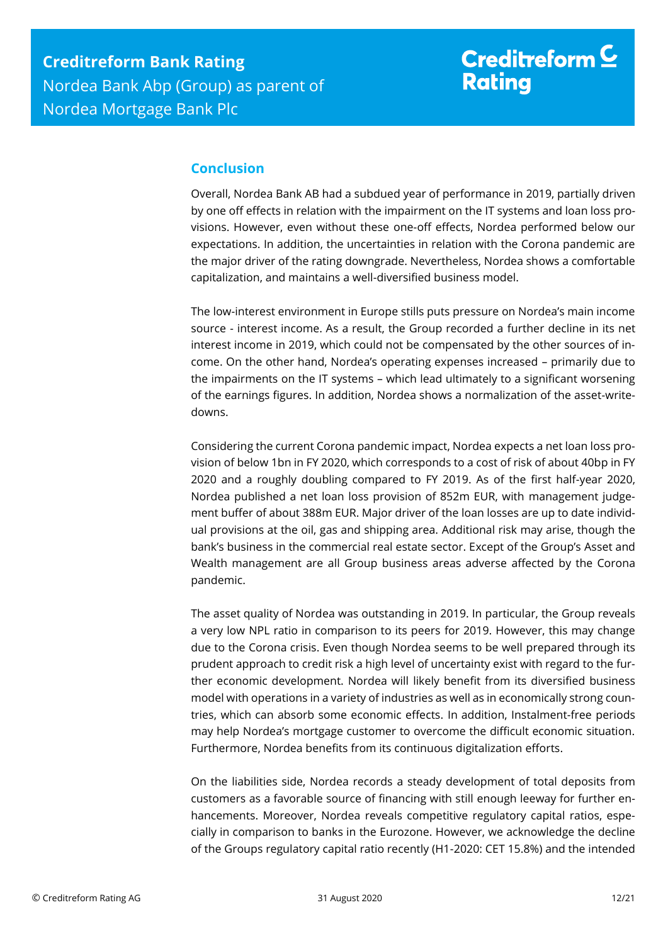## <span id="page-11-0"></span>**Conclusion**

Overall, Nordea Bank AB had a subdued year of performance in 2019, partially driven by one off effects in relation with the impairment on the IT systems and loan loss provisions. However, even without these one-off effects, Nordea performed below our expectations. In addition, the uncertainties in relation with the Corona pandemic are the major driver of the rating downgrade. Nevertheless, Nordea shows a comfortable capitalization, and maintains a well-diversified business model.

The low-interest environment in Europe stills puts pressure on Nordea's main income source - interest income. As a result, the Group recorded a further decline in its net interest income in 2019, which could not be compensated by the other sources of income. On the other hand, Nordea's operating expenses increased – primarily due to the impairments on the IT systems – which lead ultimately to a significant worsening of the earnings figures. In addition, Nordea shows a normalization of the asset-writedowns.

Considering the current Corona pandemic impact, Nordea expects a net loan loss provision of below 1bn in FY 2020, which corresponds to a cost of risk of about 40bp in FY 2020 and a roughly doubling compared to FY 2019. As of the first half-year 2020, Nordea published a net loan loss provision of 852m EUR, with management judgement buffer of about 388m EUR. Major driver of the loan losses are up to date individual provisions at the oil, gas and shipping area. Additional risk may arise, though the bank's business in the commercial real estate sector. Except of the Group's Asset and Wealth management are all Group business areas adverse affected by the Corona pandemic.

The asset quality of Nordea was outstanding in 2019. In particular, the Group reveals a very low NPL ratio in comparison to its peers for 2019. However, this may change due to the Corona crisis. Even though Nordea seems to be well prepared through its prudent approach to credit risk a high level of uncertainty exist with regard to the further economic development. Nordea will likely benefit from its diversified business model with operations in a variety of industries as well as in economically strong countries, which can absorb some economic effects. In addition, Instalment-free periods may help Nordea's mortgage customer to overcome the difficult economic situation. Furthermore, Nordea benefits from its continuous digitalization efforts.

On the liabilities side, Nordea records a steady development of total deposits from customers as a favorable source of financing with still enough leeway for further enhancements. Moreover, Nordea reveals competitive regulatory capital ratios, especially in comparison to banks in the Eurozone. However, we acknowledge the decline of the Groups regulatory capital ratio recently (H1-2020: CET 15.8%) and the intended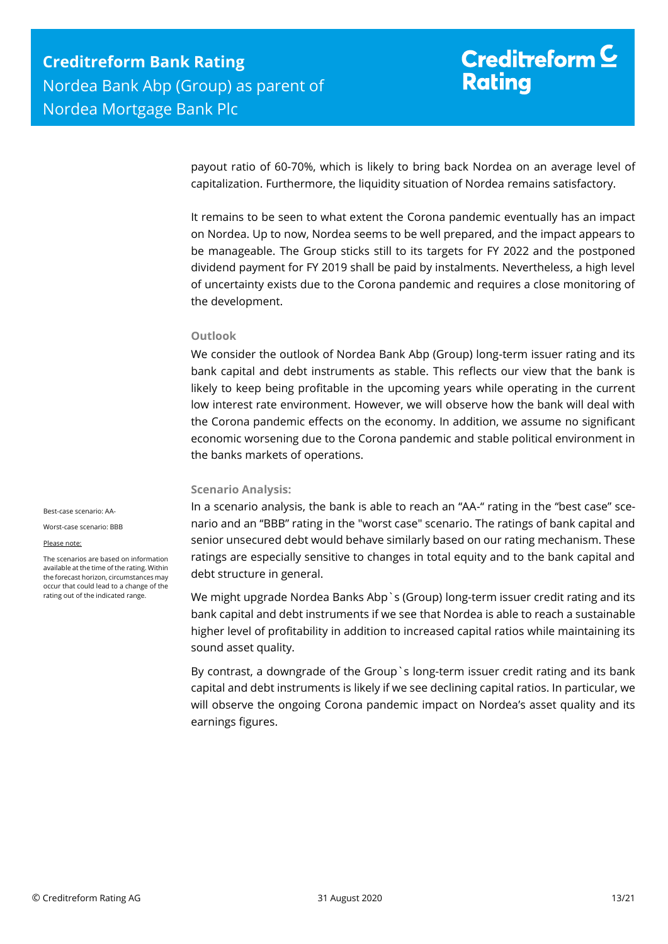payout ratio of 60-70%, which is likely to bring back Nordea on an average level of capitalization. Furthermore, the liquidity situation of Nordea remains satisfactory.

It remains to be seen to what extent the Corona pandemic eventually has an impact on Nordea. Up to now, Nordea seems to be well prepared, and the impact appears to be manageable. The Group sticks still to its targets for FY 2022 and the postponed dividend payment for FY 2019 shall be paid by instalments. Nevertheless, a high level of uncertainty exists due to the Corona pandemic and requires a close monitoring of the development.

#### **Outlook**

We consider the outlook of Nordea Bank Abp (Group) long-term issuer rating and its bank capital and debt instruments as stable. This reflects our view that the bank is likely to keep being profitable in the upcoming years while operating in the current low interest rate environment. However, we will observe how the bank will deal with the Corona pandemic effects on the economy. In addition, we assume no significant economic worsening due to the Corona pandemic and stable political environment in the banks markets of operations.

#### **Scenario Analysis:**

In a scenario analysis, the bank is able to reach an "AA-" rating in the "best case" scenario and an "BBB" rating in the "worst case" scenario. The ratings of bank capital and senior unsecured debt would behave similarly based on our rating mechanism. These ratings are especially sensitive to changes in total equity and to the bank capital and debt structure in general.

We might upgrade Nordea Banks Abp`s (Group) long-term issuer credit rating and its bank capital and debt instruments if we see that Nordea is able to reach a sustainable higher level of profitability in addition to increased capital ratios while maintaining its sound asset quality.

By contrast, a downgrade of the Group`s long-term issuer credit rating and its bank capital and debt instruments is likely if we see declining capital ratios. In particular, we will observe the ongoing Corona pandemic impact on Nordea's asset quality and its earnings figures.

Best-case scenario: AA-

Worst-case scenario: BBB

#### Please note:

The scenarios are based on information available at the time of the rating. Within the forecast horizon, circumstances may occur that could lead to a change of the rating out of the indicated range.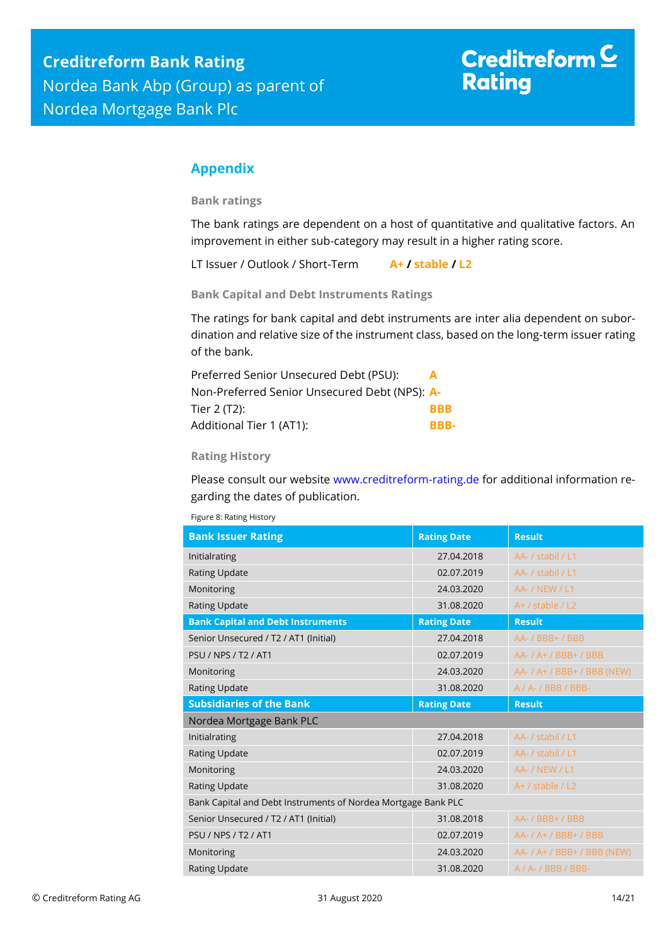# Creditreform  $C$ **Rating**

## <span id="page-13-0"></span>**Appendix**

**Bank ratings**

The bank ratings are dependent on a host of quantitative and qualitative factors. An improvement in either sub-category may result in a higher rating score.

LT Issuer / Outlook / Short-Term **A+ / stable / L2**

**Bank Capital and Debt Instruments Ratings**

The ratings for bank capital and debt instruments are inter alia dependent on subordination and relative size of the instrument class, based on the long-term issuer rating of the bank.

| Preferred Senior Unsecured Debt (PSU):        | $\Delta$   |
|-----------------------------------------------|------------|
| Non-Preferred Senior Unsecured Debt (NPS): A- |            |
| Tier 2 $(T2)$ :                               | <b>BBB</b> |
| Additional Tier 1 (AT1):                      | BBB-       |

### **Rating History**

Please consult our website [www.creditreform-rating.de](http://www.creditreform-rating.de/) for additional information regarding the dates of publication.

| <b>Bank Issuer Rating</b>                                     | <b>Rating Date</b> | <b>Result</b>               |
|---------------------------------------------------------------|--------------------|-----------------------------|
| Initialrating                                                 | 27.04.2018         | AA- / stabil / L1           |
| <b>Rating Update</b>                                          | 02.07.2019         | AA- / stabil / L1           |
| Monitoring                                                    | 24.03.2020         | <b>AA- / NEW / L1</b>       |
| <b>Rating Update</b>                                          | 31.08.2020         | $A+$ / stable / L2          |
| <b>Bank Capital and Debt Instruments</b>                      | <b>Rating Date</b> | <b>Result</b>               |
| Senior Unsecured / T2 / AT1 (Initial)                         | 27.04.2018         | AA- / BBB+ / BBB            |
| <b>PSU / NPS / T2 / AT1</b>                                   | 02.07.2019         | AA- / A+ / BBB+ / BBB       |
| Monitoring                                                    | 24.03.2020         | AA- / A+ / BBB+ / BBB (NEW) |
| <b>Rating Update</b>                                          | 31.08.2020         | $A / A - / BBB / BBB -$     |
|                                                               |                    |                             |
| <b>Subsidiaries of the Bank</b>                               | <b>Rating Date</b> | <b>Result</b>               |
| Nordea Mortgage Bank PLC                                      |                    |                             |
| Initialrating                                                 | 27.04.2018         | AA- / stabil / L1           |
| <b>Rating Update</b>                                          | 02.07.2019         | AA- / stabil / L1           |
| Monitoring                                                    | 24.03.2020         | <b>AA- / NEW / L1</b>       |
| Rating Update                                                 | 31.08.2020         | $A+$ / stable / L2          |
| Bank Capital and Debt Instruments of Nordea Mortgage Bank PLC |                    |                             |
| Senior Unsecured / T2 / AT1 (Initial)                         | 31.08.2018         | AA- / BBB+ / BBB            |
| <b>PSU / NPS / T2 / AT1</b>                                   | 02.07.2019         | AA- / A+ / BBB+ / BBB       |
| Monitoring                                                    | 24.03.2020         | AA- / A+ / BBB+ / BBB (NEW) |

Figure 8: Rating History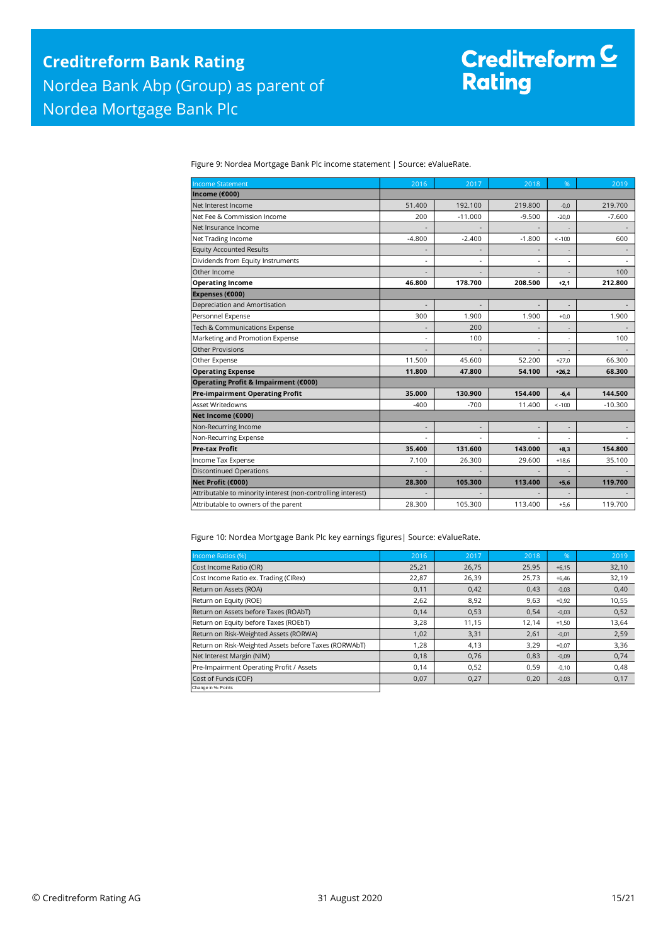Figure 9: Nordea Mortgage Bank Plc income statement | Source: eValueRate.

| <b>Income Statement</b>                                      | 2016     | 2017      | 2018     | %        | 2019      |
|--------------------------------------------------------------|----------|-----------|----------|----------|-----------|
| Income (€000)                                                |          |           |          |          |           |
| Net Interest Income                                          | 51,400   | 192.100   | 219,800  | $-0.0$   | 219,700   |
| Net Fee & Commission Income                                  | 200      | $-11.000$ | $-9.500$ | $-20,0$  | $-7.600$  |
| Net Insurance Income                                         |          |           |          |          |           |
| Net Trading Income                                           | $-4.800$ | $-2.400$  | $-1.800$ | $< -100$ | 600       |
| <b>Equity Accounted Results</b>                              |          |           |          |          |           |
| Dividends from Equity Instruments                            | ٠        |           | ٠        |          |           |
| Other Income                                                 |          |           |          |          | 100       |
| <b>Operating Income</b>                                      | 46.800   | 178.700   | 208.500  | $+2,1$   | 212.800   |
| Expenses (€000)                                              |          |           |          |          |           |
| Depreciation and Amortisation                                |          |           |          |          |           |
| Personnel Expense                                            | 300      | 1.900     | 1.900    | $+0.0$   | 1.900     |
| Tech & Communications Expense                                |          | 200       |          |          |           |
| Marketing and Promotion Expense                              |          | 100       |          |          | 100       |
| <b>Other Provisions</b>                                      |          |           |          |          |           |
| Other Expense                                                | 11.500   | 45.600    | 52.200   | $+27.0$  | 66.300    |
| <b>Operating Expense</b>                                     | 11.800   | 47.800    | 54.100   | $+26,2$  | 68.300    |
| Operating Profit & Impairment (€000)                         |          |           |          |          |           |
| <b>Pre-impairment Operating Profit</b>                       | 35.000   | 130.900   | 154.400  | $-6.4$   | 144.500   |
| <b>Asset Writedowns</b>                                      | $-400$   | $-700$    | 11.400   | $< -100$ | $-10.300$ |
| Net Income (€000)                                            |          |           |          |          |           |
| Non-Recurring Income                                         |          |           |          |          |           |
| Non-Recurring Expense                                        |          |           |          |          |           |
| <b>Pre-tax Profit</b>                                        | 35.400   | 131.600   | 143.000  | $+8,3$   | 154.800   |
| Income Tax Expense                                           | 7.100    | 26.300    | 29.600   | $+18,6$  | 35.100    |
| <b>Discontinued Operations</b>                               |          |           |          |          |           |
| Net Profit (€000)                                            | 28.300   | 105.300   | 113.400  | $+5,6$   | 119.700   |
| Attributable to minority interest (non-controlling interest) |          |           |          |          |           |
| Attributable to owners of the parent                         | 28.300   | 105.300   | 113.400  | $+5.6$   | 119.700   |

Figure 10: Nordea Mortgage Bank Plc key earnings figures| Source: eValueRate.

| Income Ratios (%)                                     | 2016  | 2017  | 2018  | $\%$    | 2019  |
|-------------------------------------------------------|-------|-------|-------|---------|-------|
| Cost Income Ratio (CIR)                               | 25,21 | 26,75 | 25,95 | $+6,15$ | 32,10 |
| Cost Income Ratio ex. Trading (CIRex)                 | 22,87 | 26,39 | 25,73 | $+6.46$ | 32,19 |
| Return on Assets (ROA)                                | 0,11  | 0,42  | 0,43  | $-0,03$ | 0,40  |
| Return on Equity (ROE)                                | 2,62  | 8,92  | 9,63  | $+0,92$ | 10,55 |
| Return on Assets before Taxes (ROAbT)                 | 0,14  | 0,53  | 0.54  | $-0,03$ | 0,52  |
| Return on Equity before Taxes (ROEbT)                 | 3,28  | 11,15 | 12,14 | $+1,50$ | 13,64 |
| Return on Risk-Weighted Assets (RORWA)                | 1,02  | 3,31  | 2,61  | $-0,01$ | 2,59  |
| Return on Risk-Weighted Assets before Taxes (RORWAbT) | 1,28  | 4,13  | 3.29  | $+0.07$ | 3,36  |
| Net Interest Margin (NIM)                             | 0,18  | 0,76  | 0,83  | $-0,09$ | 0,74  |
| Pre-Impairment Operating Profit / Assets              | 0,14  | 0,52  | 0,59  | $-0,10$ | 0,48  |
| Cost of Funds (COF)                                   | 0,07  | 0,27  | 0,20  | $-0,03$ | 0,17  |
| Change in %- Points                                   |       |       |       |         |       |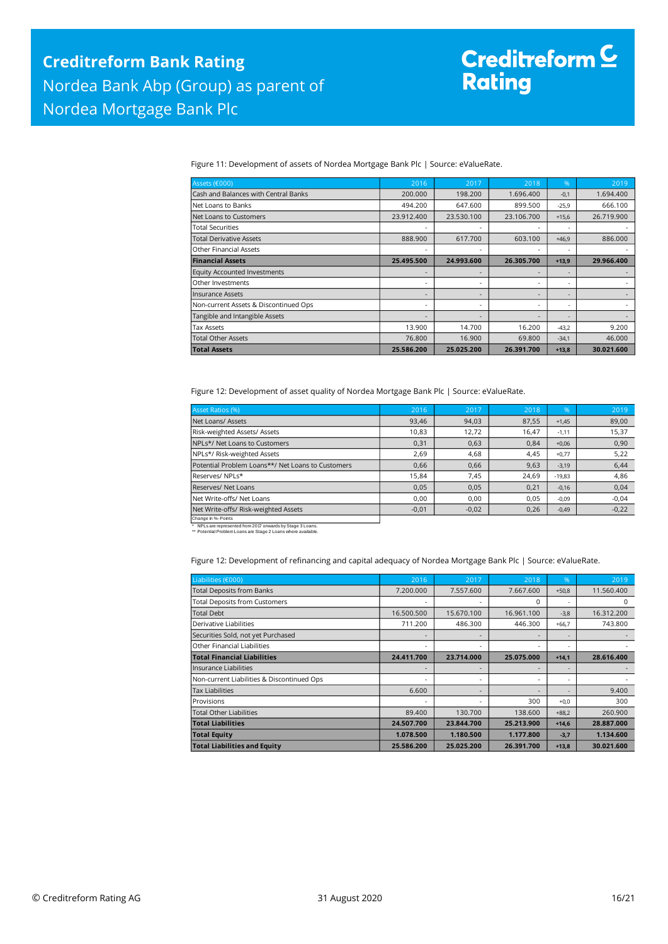Figure 11: Development of assets of Nordea Mortgage Bank Plc | Source: eValueRate.

| Assets (€000)                         | 2016       | 2017       | 2018       | %                        | 2019       |
|---------------------------------------|------------|------------|------------|--------------------------|------------|
| Cash and Balances with Central Banks  | 200,000    | 198.200    | 1.696.400  | $-0,1$                   | 1.694.400  |
| Net Loans to Banks                    | 494.200    | 647.600    | 899.500    | $-25.9$                  | 666.100    |
| Net Loans to Customers                | 23.912.400 | 23.530.100 | 23.106.700 | $+15,6$                  | 26.719.900 |
| Total Securities                      |            |            |            | $\overline{\phantom{a}}$ |            |
| <b>Total Derivative Assets</b>        | 888,900    | 617.700    | 603.100    | $+46.9$                  | 886,000    |
| <b>Other Financial Assets</b>         |            |            |            |                          |            |
| <b>Financial Assets</b>               | 25.495.500 | 24.993.600 | 26.305.700 | $+13.9$                  | 29.966.400 |
| <b>Equity Accounted Investments</b>   |            |            | ٠          |                          |            |
| Other Investments                     |            |            | ٠          | $\overline{\phantom{a}}$ |            |
| Insurance Assets                      |            |            |            | $\overline{\phantom{a}}$ |            |
| Non-current Assets & Discontinued Ops |            |            | ٠          | ٠                        |            |
| Tangible and Intangible Assets        |            |            |            |                          |            |
| <b>Tax Assets</b>                     | 13.900     | 14.700     | 16.200     | $-43,2$                  | 9.200      |
| <b>Total Other Assets</b>             | 76.800     | 16.900     | 69.800     | $-34,1$                  | 46,000     |
| <b>Total Assets</b>                   | 25.586.200 | 25.025.200 | 26.391.700 | $+13,8$                  | 30.021.600 |

Figure 12: Development of asset quality of Nordea Mortgage Bank Plc | Source: eValueRate.

| <b>Asset Ratios (%)</b>                           | 2016    | 2017    | 2018  | %        | 2019    |
|---------------------------------------------------|---------|---------|-------|----------|---------|
| Net Loans/ Assets                                 | 93,46   | 94,03   | 87,55 | $+1.45$  | 89,00   |
| Risk-weighted Assets/ Assets                      | 10,83   | 12,72   | 16,47 | $-1,11$  | 15,37   |
| NPLs*/ Net Loans to Customers                     | 0,31    | 0,63    | 0.84  | $+0.06$  | 0,90    |
| NPLs*/ Risk-weighted Assets                       | 2.69    | 4.68    | 4,45  | $+0.77$  | 5,22    |
| Potential Problem Loans**/ Net Loans to Customers | 0.66    | 0.66    | 9,63  | $-3,19$  | 6,44    |
| Reserves/NPLs*                                    | 15,84   | 7,45    | 24,69 | $-19,83$ | 4,86    |
| Reserves/ Net Loans                               | 0.05    | 0,05    | 0,21  | $-0.16$  | 0,04    |
| Net Write-offs/ Net Loans                         | 0.00    | 0,00    | 0,05  | $-0,09$  | $-0,04$ |
| Net Write-offs/ Risk-weighted Assets              | $-0,01$ | $-0,02$ | 0,26  | $-0,49$  | $-0,22$ |
| Change in %- Points                               |         |         |       |          |         |

\* NPLs are represented from 2017 onwards by Stage 3 Loans. \*\* Potential Problem Loans are Stage 2 Loans where available.

Figure 12: Development of refinancing and capital adequacy of Nordea Mortgage Bank Plc | Source: eValueRate.

| Liabilities (€000)                         | 2016       | 2017       | 2018       | %       | 2019       |
|--------------------------------------------|------------|------------|------------|---------|------------|
| <b>Total Deposits from Banks</b>           | 7.200.000  | 7.557.600  | 7.667.600  | $+50.8$ | 11.560.400 |
| <b>Total Deposits from Customers</b>       |            |            | $\Omega$   |         | 0          |
| <b>Total Debt</b>                          | 16.500.500 | 15.670.100 | 16.961.100 | $-3,8$  | 16.312.200 |
| Derivative Liabilities                     | 711.200    | 486.300    | 446.300    | $+66.7$ | 743.800    |
| Securities Sold, not yet Purchased         |            |            |            |         |            |
| Other Financial Liabilities                |            |            |            |         |            |
| <b>Total Financial Liabilities</b>         | 24.411.700 | 23.714.000 | 25.075.000 | $+14,1$ | 28.616.400 |
| Insurance Liabilities                      |            |            |            |         |            |
| Non-current Liabilities & Discontinued Ops |            |            |            | ۰       |            |
| <b>Tax Liabilities</b>                     | 6.600      |            |            |         | 9.400      |
| Provisions                                 |            |            | 300        | $+0,0$  | 300        |
| <b>Total Other Liabilities</b>             | 89.400     | 130.700    | 138,600    | $+88,2$ | 260,900    |
| <b>Total Liabilities</b>                   | 24.507.700 | 23.844.700 | 25.213.900 | $+14,6$ | 28.887.000 |
| <b>Total Equity</b>                        | 1.078.500  | 1.180.500  | 1.177.800  | $-3,7$  | 1.134.600  |
| <b>Total Liabilities and Equity</b>        | 25.586.200 | 25.025.200 | 26.391.700 | $+13.8$ | 30.021.600 |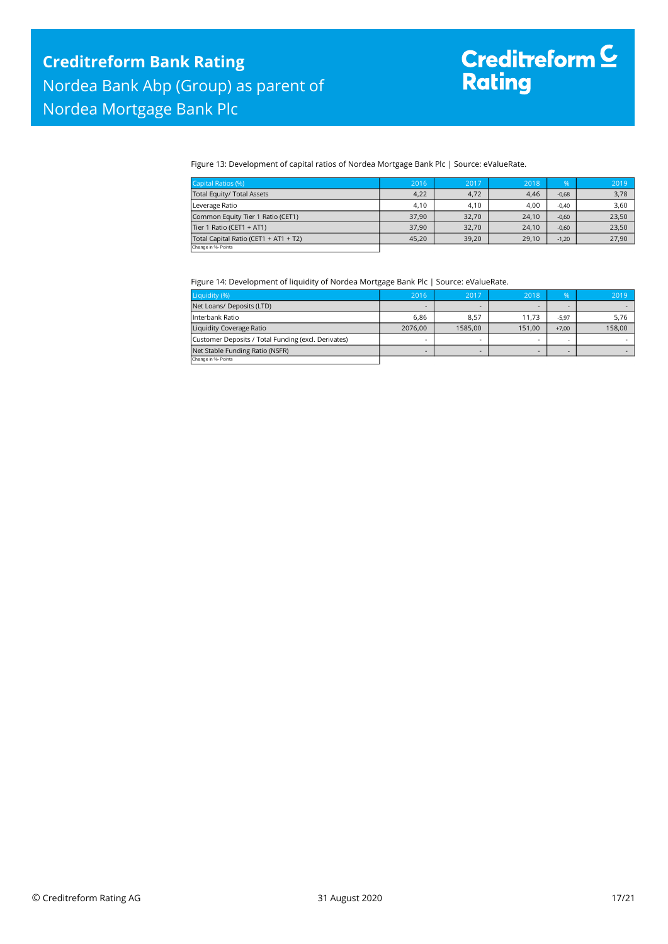Figure 13: Development of capital ratios of Nordea Mortgage Bank Plc | Source: eValueRate.

| Capital Ratios (%)                    | 2016  | 2017  | 2018  | $\%$    | 2019  |
|---------------------------------------|-------|-------|-------|---------|-------|
| Total Equity/ Total Assets            | 4.22  | 4,72  | 4,46  | $-0,68$ | 3,78  |
| Leverage Ratio                        | 4.10  | 4,10  | 4,00  | $-0.40$ | 3,60  |
| Common Equity Tier 1 Ratio (CET1)     | 37.90 | 32.70 | 24.10 | $-0,60$ | 23,50 |
| Tier 1 Ratio (CET1 + AT1)             | 37.90 | 32.70 | 24.10 | $-0.60$ | 23,50 |
| Total Capital Ratio (CET1 + AT1 + T2) | 45.20 | 39,20 | 29.10 | $-1,20$ | 27,90 |
| Change in %- Points                   |       |       |       |         |       |

Figure 14: Development of liquidity of Nordea Mortgage Bank Plc | Source: eValueRate.

| Liquidity (%)                                       | 2016    | 2017                     | 2018   | $\frac{9}{6}$ | 2019   |
|-----------------------------------------------------|---------|--------------------------|--------|---------------|--------|
| Net Loans/ Deposits (LTD)                           |         | $\overline{\phantom{0}}$ | -      |               |        |
| Interbank Ratio                                     | 6.86    | 8,57                     | 11.73  | $-5.97$       | 5,76   |
| Liquidity Coverage Ratio                            | 2076.00 | 1585.00                  | 151.00 | $+7.00$       | 158,00 |
| Customer Deposits / Total Funding (excl. Derivates) |         |                          | -      |               |        |
| Net Stable Funding Ratio (NSFR)                     |         |                          |        |               |        |
| Change in %- Points                                 |         |                          |        |               |        |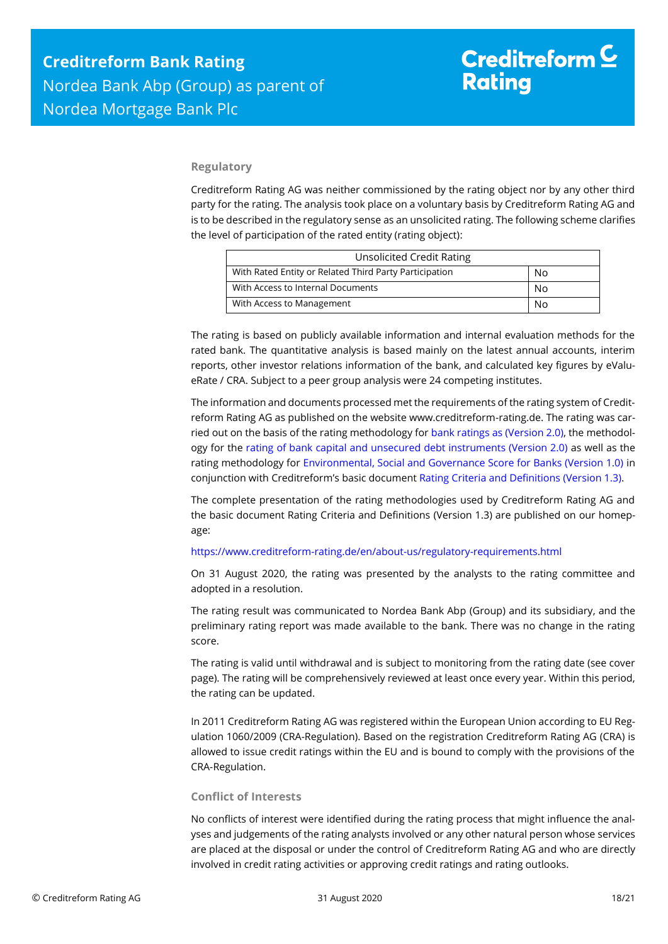### **Regulatory**

Creditreform Rating AG was neither commissioned by the rating object nor by any other third party for the rating. The analysis took place on a voluntary basis by Creditreform Rating AG and is to be described in the regulatory sense as an unsolicited rating. The following scheme clarifies the level of participation of the rated entity (rating object):

| <b>Unsolicited Credit Rating</b>                       |    |  |
|--------------------------------------------------------|----|--|
| With Rated Entity or Related Third Party Participation | No |  |
| With Access to Internal Documents                      | No |  |
| With Access to Management                              | No |  |

The rating is based on publicly available information and internal evaluation methods for the rated bank. The quantitative analysis is based mainly on the latest annual accounts, interim reports, other investor relations information of the bank, and calculated key figures by eValueRate / CRA. Subject to a peer group analysis were 24 competing institutes.

The information and documents processed met the requirements of the rating system of Creditreform Rating AG as published on the website www.creditreform-rating.de. The rating was carried out on the basis of the rating methodology fo[r bank ratings as \(Version 2.0\),](https://www.creditreform-rating.de/en/about-us/regulatory-requirements.html?file=files/content/downloads/Externes%20Rating/Regulatorische%20Anforderungen/EN/Ratingmethodiken%20EN/Rating%20Methodology%20Bank%20Ratings%20v2.0.pdf) the methodology for the [rating of bank capital and unsecured debt instruments \(Version 2.0\)](https://www.creditreform-rating.de/en/about-us/regulatory-requirements.html?file=files/content/downloads/Externes%20Rating/Regulatorische%20Anforderungen/EN/Ratingmethodiken%20EN/Bank%20Capital%20and%20Unsecured%20Debt%20Instruments%20Methodology.pdf) as well as the rating methodology for [Environmental, Social and Governance Score for Banks \(Version 1.0\)](https://www.creditreform-rating.de/en/about-us/regulatory-requirements.html?file=files/content/downloads/Externes%20Rating/Regulatorische%20Anforderungen/EN/Ratingmethodiken%20EN/Rating%20Methodology%20ESG%20v1.0.pdf) in conjunction with Creditreform's basic documen[t Rating Criteria and Definitions \(Version 1.3\).](https://www.creditreform-rating.de/en/about-us/regulatory-requirements.html?file=files/content/downloads/Externes%20Rating/Regulatorische%20Anforderungen/EN/Ratingmethodiken%20EN/CRAG%20Rating%20Criteria%20and%20Definitions.pdf)

The complete presentation of the rating methodologies used by Creditreform Rating AG and the basic document Rating Criteria and Definitions (Version 1.3) are published on our homepage:

#### <https://www.creditreform-rating.de/en/about-us/regulatory-requirements.html>

On 31 August 2020, the rating was presented by the analysts to the rating committee and adopted in a resolution.

The rating result was communicated to Nordea Bank Abp (Group) and its subsidiary, and the preliminary rating report was made available to the bank. There was no change in the rating score.

The rating is valid until withdrawal and is subject to monitoring from the rating date (see cover page). The rating will be comprehensively reviewed at least once every year. Within this period, the rating can be updated.

In 2011 Creditreform Rating AG was registered within the European Union according to EU Regulation 1060/2009 (CRA-Regulation). Based on the registration Creditreform Rating AG (CRA) is allowed to issue credit ratings within the EU and is bound to comply with the provisions of the CRA-Regulation.

#### **Conflict of Interests**

No conflicts of interest were identified during the rating process that might influence the analyses and judgements of the rating analysts involved or any other natural person whose services are placed at the disposal or under the control of Creditreform Rating AG and who are directly involved in credit rating activities or approving credit ratings and rating outlooks.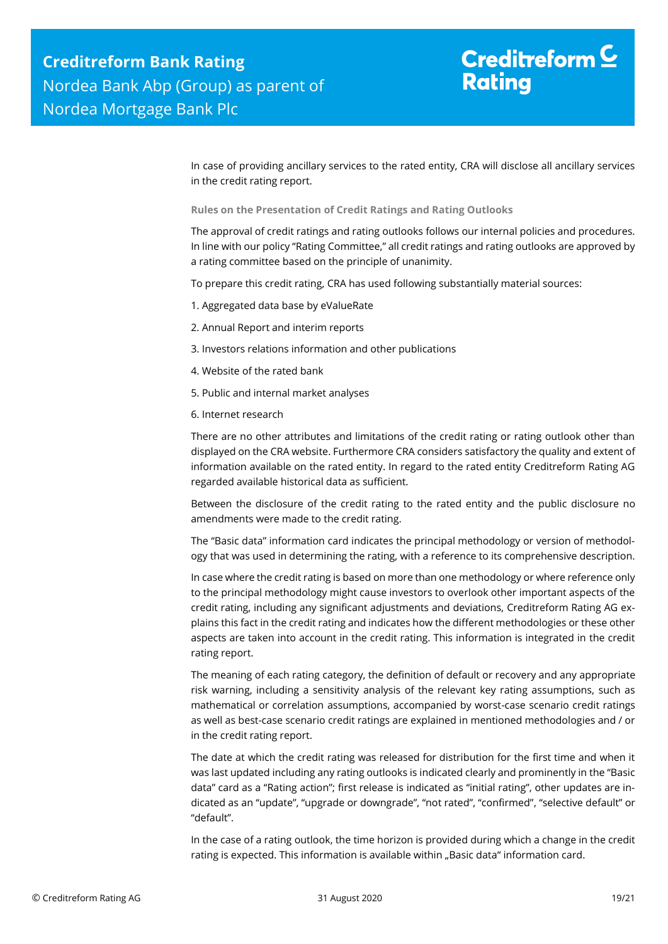## Creditreform  $\mathsf{\underline{C}}$ **Rating**

In case of providing ancillary services to the rated entity, CRA will disclose all ancillary services in the credit rating report.

**Rules on the Presentation of Credit Ratings and Rating Outlooks**

The approval of credit ratings and rating outlooks follows our internal policies and procedures. In line with our policy "Rating Committee," all credit ratings and rating outlooks are approved by a rating committee based on the principle of unanimity.

To prepare this credit rating, CRA has used following substantially material sources:

- 1. Aggregated data base by eValueRate
- 2. Annual Report and interim reports
- 3. Investors relations information and other publications
- 4. Website of the rated bank
- 5. Public and internal market analyses
- 6. Internet research

There are no other attributes and limitations of the credit rating or rating outlook other than displayed on the CRA website. Furthermore CRA considers satisfactory the quality and extent of information available on the rated entity. In regard to the rated entity Creditreform Rating AG regarded available historical data as sufficient.

Between the disclosure of the credit rating to the rated entity and the public disclosure no amendments were made to the credit rating.

The "Basic data" information card indicates the principal methodology or version of methodology that was used in determining the rating, with a reference to its comprehensive description.

In case where the credit rating is based on more than one methodology or where reference only to the principal methodology might cause investors to overlook other important aspects of the credit rating, including any significant adjustments and deviations, Creditreform Rating AG explains this fact in the credit rating and indicates how the different methodologies or these other aspects are taken into account in the credit rating. This information is integrated in the credit rating report.

The meaning of each rating category, the definition of default or recovery and any appropriate risk warning, including a sensitivity analysis of the relevant key rating assumptions, such as mathematical or correlation assumptions, accompanied by worst-case scenario credit ratings as well as best-case scenario credit ratings are explained in mentioned methodologies and / or in the credit rating report.

The date at which the credit rating was released for distribution for the first time and when it was last updated including any rating outlooks is indicated clearly and prominently in the "Basic data" card as a "Rating action"; first release is indicated as "initial rating", other updates are indicated as an "update", "upgrade or downgrade", "not rated", "confirmed", "selective default" or "default".

In the case of a rating outlook, the time horizon is provided during which a change in the credit rating is expected. This information is available within "Basic data" information card.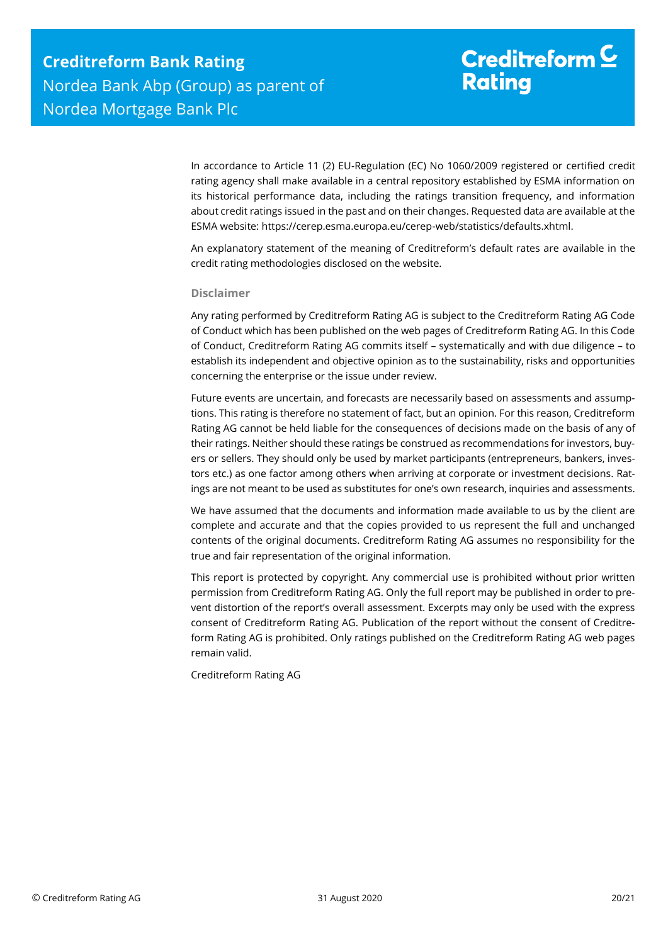In accordance to Article 11 (2) EU-Regulation (EC) No 1060/2009 registered or certified credit rating agency shall make available in a central repository established by ESMA information on its historical performance data, including the ratings transition frequency, and information about credit ratings issued in the past and on their changes. Requested data are available at the ESMA website: https://cerep.esma.europa.eu/cerep-web/statistics/defaults.xhtml.

An explanatory statement of the meaning of Creditreform's default rates are available in the credit rating methodologies disclosed on the website.

#### **Disclaimer**

Any rating performed by Creditreform Rating AG is subject to the Creditreform Rating AG Code of Conduct which has been published on the web pages of Creditreform Rating AG. In this Code of Conduct, Creditreform Rating AG commits itself – systematically and with due diligence – to establish its independent and objective opinion as to the sustainability, risks and opportunities concerning the enterprise or the issue under review.

Future events are uncertain, and forecasts are necessarily based on assessments and assumptions. This rating is therefore no statement of fact, but an opinion. For this reason, Creditreform Rating AG cannot be held liable for the consequences of decisions made on the basis of any of their ratings. Neither should these ratings be construed as recommendations for investors, buyers or sellers. They should only be used by market participants (entrepreneurs, bankers, investors etc.) as one factor among others when arriving at corporate or investment decisions. Ratings are not meant to be used as substitutes for one's own research, inquiries and assessments.

We have assumed that the documents and information made available to us by the client are complete and accurate and that the copies provided to us represent the full and unchanged contents of the original documents. Creditreform Rating AG assumes no responsibility for the true and fair representation of the original information.

This report is protected by copyright. Any commercial use is prohibited without prior written permission from Creditreform Rating AG. Only the full report may be published in order to prevent distortion of the report's overall assessment. Excerpts may only be used with the express consent of Creditreform Rating AG. Publication of the report without the consent of Creditreform Rating AG is prohibited. Only ratings published on the Creditreform Rating AG web pages remain valid.

Creditreform Rating AG